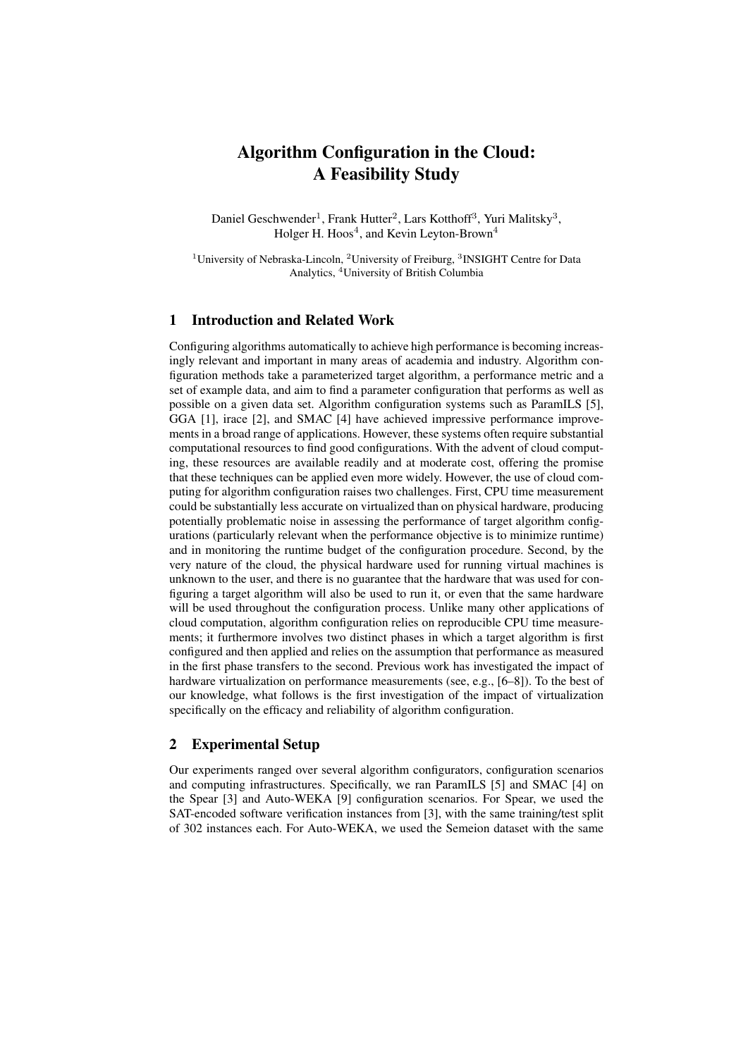# Algorithm Configuration in the Cloud: A Feasibility Study

Daniel Geschwender<sup>1</sup>, Frank Hutter<sup>2</sup>, Lars Kotthoff<sup>3</sup>, Yuri Malitsky<sup>3</sup>, Holger H. Hoos<sup>4</sup>, and Kevin Leyton-Brown<sup>4</sup>

<sup>1</sup>University of Nebraska-Lincoln, <sup>2</sup>University of Freiburg, <sup>3</sup>INSIGHT Centre for Data Analytics, <sup>4</sup>University of British Columbia

## 1 Introduction and Related Work

Configuring algorithms automatically to achieve high performance is becoming increasingly relevant and important in many areas of academia and industry. Algorithm configuration methods take a parameterized target algorithm, a performance metric and a set of example data, and aim to find a parameter configuration that performs as well as possible on a given data set. Algorithm configuration systems such as ParamILS [5], GGA [1], irace [2], and SMAC [4] have achieved impressive performance improvements in a broad range of applications. However, these systems often require substantial computational resources to find good configurations. With the advent of cloud computing, these resources are available readily and at moderate cost, offering the promise that these techniques can be applied even more widely. However, the use of cloud computing for algorithm configuration raises two challenges. First, CPU time measurement could be substantially less accurate on virtualized than on physical hardware, producing potentially problematic noise in assessing the performance of target algorithm configurations (particularly relevant when the performance objective is to minimize runtime) and in monitoring the runtime budget of the configuration procedure. Second, by the very nature of the cloud, the physical hardware used for running virtual machines is unknown to the user, and there is no guarantee that the hardware that was used for configuring a target algorithm will also be used to run it, or even that the same hardware will be used throughout the configuration process. Unlike many other applications of cloud computation, algorithm configuration relies on reproducible CPU time measurements; it furthermore involves two distinct phases in which a target algorithm is first configured and then applied and relies on the assumption that performance as measured in the first phase transfers to the second. Previous work has investigated the impact of hardware virtualization on performance measurements (see, e.g., [6–8]). To the best of our knowledge, what follows is the first investigation of the impact of virtualization specifically on the efficacy and reliability of algorithm configuration.

## 2 Experimental Setup

Our experiments ranged over several algorithm configurators, configuration scenarios and computing infrastructures. Specifically, we ran ParamILS [5] and SMAC [4] on the Spear [3] and Auto-WEKA [9] configuration scenarios. For Spear, we used the SAT-encoded software verification instances from [3], with the same training/test split of 302 instances each. For Auto-WEKA, we used the Semeion dataset with the same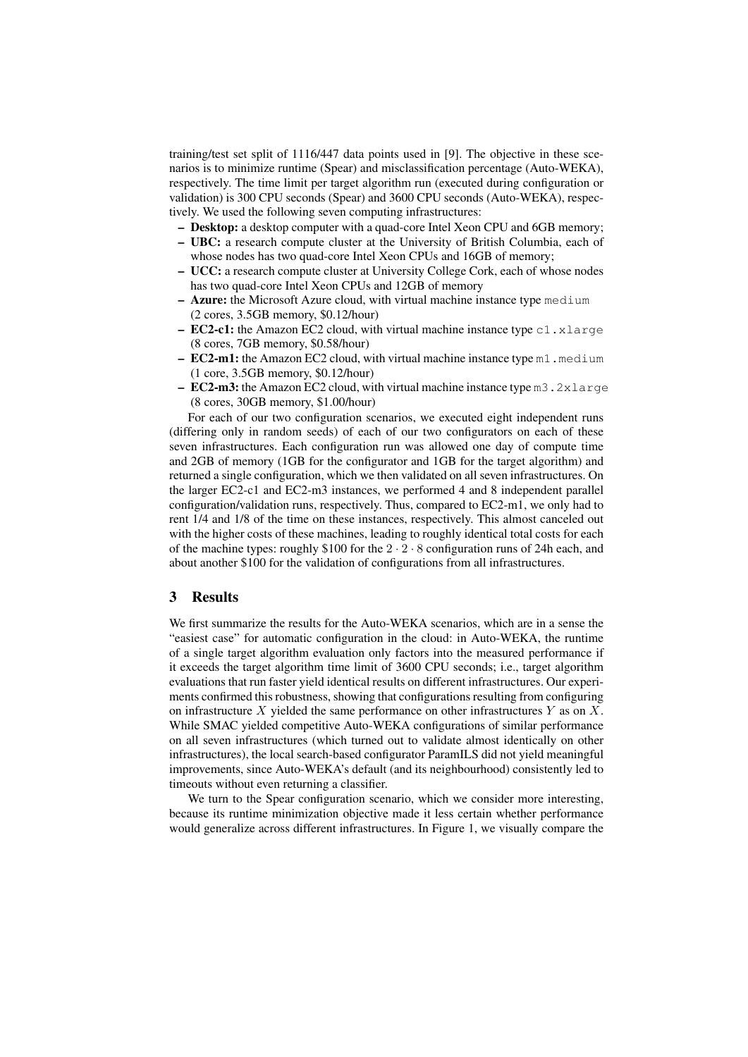training/test set split of 1116/447 data points used in [9]. The objective in these scenarios is to minimize runtime (Spear) and misclassification percentage (Auto-WEKA), respectively. The time limit per target algorithm run (executed during configuration or validation) is 300 CPU seconds (Spear) and 3600 CPU seconds (Auto-WEKA), respectively. We used the following seven computing infrastructures:

- Desktop: a desktop computer with a quad-core Intel Xeon CPU and 6GB memory;
- UBC: a research compute cluster at the University of British Columbia, each of whose nodes has two quad-core Intel Xeon CPUs and 16GB of memory;
- UCC: a research compute cluster at University College Cork, each of whose nodes has two quad-core Intel Xeon CPUs and 12GB of memory
- Azure: the Microsoft Azure cloud, with virtual machine instance type medium (2 cores, 3.5GB memory, \$0.12/hour)
- EC2-c1: the Amazon EC2 cloud, with virtual machine instance type  $c1$ . xlarge (8 cores, 7GB memory, \$0.58/hour)
- **EC2-m1:** the Amazon EC2 cloud, with virtual machine instance type  $m1$ . medium (1 core, 3.5GB memory, \$0.12/hour)
- EC2-m3: the Amazon EC2 cloud, with virtual machine instance type m3.2xlarge (8 cores, 30GB memory, \$1.00/hour)

For each of our two configuration scenarios, we executed eight independent runs (differing only in random seeds) of each of our two configurators on each of these seven infrastructures. Each configuration run was allowed one day of compute time and 2GB of memory (1GB for the configurator and 1GB for the target algorithm) and returned a single configuration, which we then validated on all seven infrastructures. On the larger EC2-c1 and EC2-m3 instances, we performed 4 and 8 independent parallel configuration/validation runs, respectively. Thus, compared to EC2-m1, we only had to rent 1/4 and 1/8 of the time on these instances, respectively. This almost canceled out with the higher costs of these machines, leading to roughly identical total costs for each of the machine types: roughly \$100 for the  $2 \cdot 2 \cdot 8$  configuration runs of 24h each, and about another \$100 for the validation of configurations from all infrastructures.

# 3 Results

We first summarize the results for the Auto-WEKA scenarios, which are in a sense the "easiest case" for automatic configuration in the cloud: in Auto-WEKA, the runtime of a single target algorithm evaluation only factors into the measured performance if it exceeds the target algorithm time limit of 3600 CPU seconds; i.e., target algorithm evaluations that run faster yield identical results on different infrastructures. Our experiments confirmed this robustness, showing that configurations resulting from configuring on infrastructure *X* yielded the same performance on other infrastructures *Y* as on *X*. While SMAC yielded competitive Auto-WEKA configurations of similar performance on all seven infrastructures (which turned out to validate almost identically on other infrastructures), the local search-based configurator ParamILS did not yield meaningful improvements, since Auto-WEKA's default (and its neighbourhood) consistently led to timeouts without even returning a classifier.

We turn to the Spear configuration scenario, which we consider more interesting, because its runtime minimization objective made it less certain whether performance would generalize across different infrastructures. In Figure 1, we visually compare the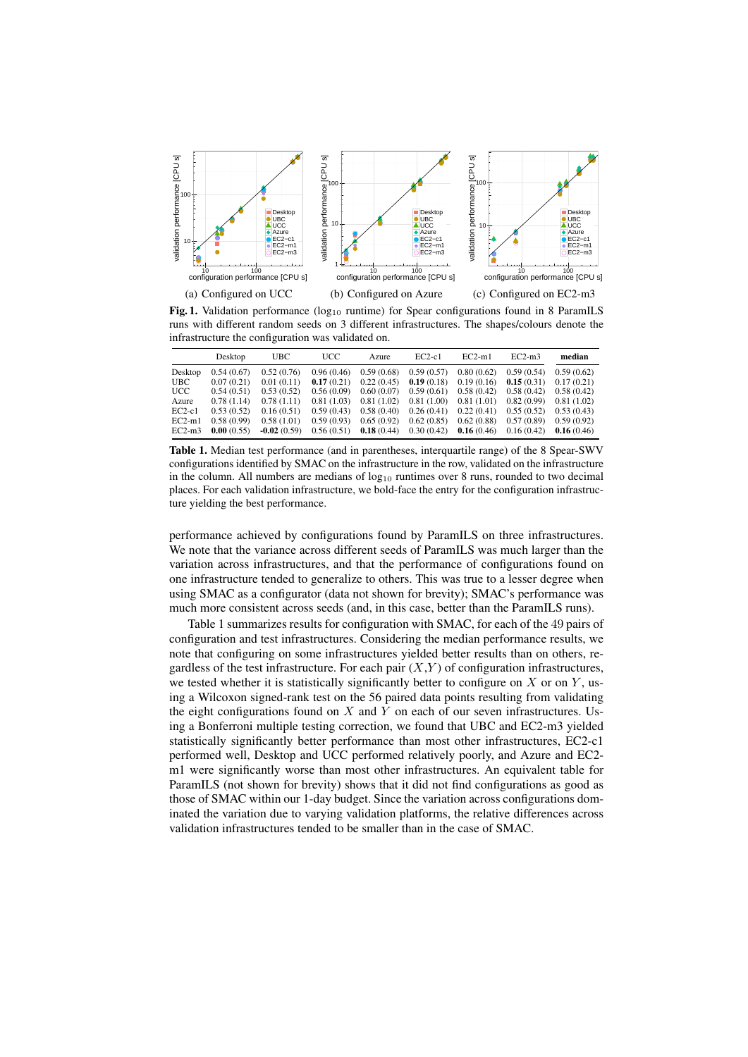

Fig. 1. Validation performance ( $log_{10}$  runtime) for Spear configurations found in 8 ParamILS runs with different random seeds on 3 different infrastructures. The shapes/colours denote the infrastructure the configuration was validated on.

|            | Desktop    | <b>UBC</b>    | UCC        | Azure      | $EC2-c1$   | $EC2-m1$   | $EC2-m3$   | median     |
|------------|------------|---------------|------------|------------|------------|------------|------------|------------|
| Desktop    | 0.54(0.67) | 0.52(0.76)    | 0.96(0.46) | 0.59(0.68) | 0.59(0.57) | 0.80(0.62) | 0.59(0.54) | 0.59(0.62) |
| <b>UBC</b> | 0.07(0.21) | 0.01(0.11)    | 0.17(0.21) | 0.22(0.45) | 0.19(0.18) | 0.19(0.16) | 0.15(0.31) | 0.17(0.21) |
| UCC        | 0.54(0.51) | 0.53(0.52)    | 0.56(0.09) | 0.60(0.07) | 0.59(0.61) | 0.58(0.42) | 0.58(0.42) | 0.58(0.42) |
| Azure      | 0.78(1.14) | 0.78(1.11)    | 0.81(1.03) | 0.81(1.02) | 0.81(1.00) | 0.81(1.01) | 0.82(0.99) | 0.81(1.02) |
| $EC2-c1$   | 0.53(0.52) | 0.16(0.51)    | 0.59(0.43) | 0.58(0.40) | 0.26(0.41) | 0.22(0.41) | 0.55(0.52) | 0.53(0.43) |
| $EC2-m1$   | 0.58(0.99) | 0.58(1.01)    | 0.59(0.93) | 0.65(0.92) | 0.62(0.85) | 0.62(0.88) | 0.57(0.89) | 0.59(0.92) |
| $EC2-m3$   | 0.00(0.55) | $-0.02(0.59)$ | 0.56(0.51) | 0.18(0.44) | 0.30(0.42) | 0.16(0.46) | 0.16(0.42) | 0.16(0.46) |

Table 1. Median test performance (and in parentheses, interquartile range) of the 8 Spear-SWV configurations identified by SMAC on the infrastructure in the row, validated on the infrastructure in the column. All numbers are medians of  $log_{10}$  runtimes over 8 runs, rounded to two decimal places. For each validation infrastructure, we bold-face the entry for the configuration infrastructure yielding the best performance.

performance achieved by configurations found by ParamILS on three infrastructures. We note that the variance across different seeds of ParamILS was much larger than the variation across infrastructures, and that the performance of configurations found on one infrastructure tended to generalize to others. This was true to a lesser degree when using SMAC as a configurator (data not shown for brevity); SMAC's performance was much more consistent across seeds (and, in this case, better than the ParamILS runs).

Table 1 summarizes results for configuration with SMAC, for each of the 49 pairs of configuration and test infrastructures. Considering the median performance results, we note that configuring on some infrastructures yielded better results than on others, regardless of the test infrastructure. For each pair  $(X,Y)$  of configuration infrastructures, we tested whether it is statistically significantly better to configure on *X* or on *Y* , using a Wilcoxon signed-rank test on the 56 paired data points resulting from validating the eight configurations found on *X* and *Y* on each of our seven infrastructures. Using a Bonferroni multiple testing correction, we found that UBC and EC2-m3 yielded statistically significantly better performance than most other infrastructures, EC2-c1 performed well, Desktop and UCC performed relatively poorly, and Azure and EC2 m1 were significantly worse than most other infrastructures. An equivalent table for ParamILS (not shown for brevity) shows that it did not find configurations as good as those of SMAC within our 1-day budget. Since the variation across configurations dominated the variation due to varying validation platforms, the relative differences across validation infrastructures tended to be smaller than in the case of SMAC.